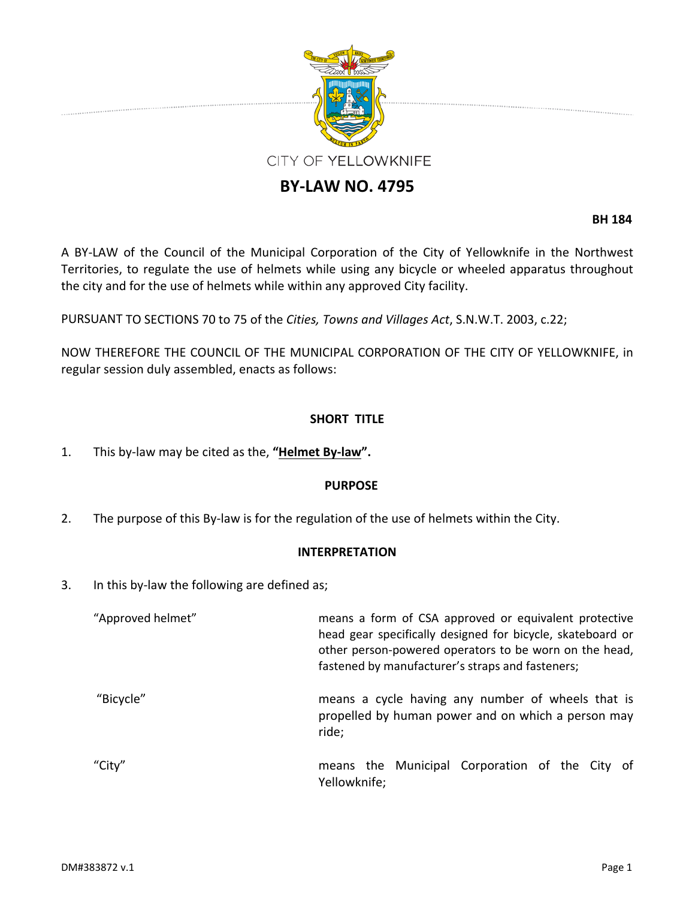

# **BY‐LAW NO. 4795**

**BH 184**

A BY‐LAW of the Council of the Municipal Corporation of the City of Yellowknife in the Northwest Territories, to regulate the use of helmets while using any bicycle or wheeled apparatus throughout the city and for the use of helmets while within any approved City facility.

PURSUANT TO SECTIONS 70 to 75 of the *Cities, Towns and Villages Act*, S.N.W.T. 2003, c.22;

NOW THEREFORE THE COUNCIL OF THE MUNICIPAL CORPORATION OF THE CITY OF YELLOWKNIFE, in regular session duly assembled, enacts as follows:

## **SHORT TITLE**

1. This by‐law may be cited as the, **"Helmet By‐law".**

#### **PURPOSE**

2. The purpose of this By-law is for the regulation of the use of helmets within the City.

#### **INTERPRETATION**

3. In this by‐law the following are defined as;

| "Approved helmet" | means a form of CSA approved or equivalent protective<br>head gear specifically designed for bicycle, skateboard or<br>other person-powered operators to be worn on the head,<br>fastened by manufacturer's straps and fasteners; |
|-------------------|-----------------------------------------------------------------------------------------------------------------------------------------------------------------------------------------------------------------------------------|
| "Bicycle"         | means a cycle having any number of wheels that is<br>propelled by human power and on which a person may<br>ride;                                                                                                                  |
| "City"            | means the Municipal Corporation of the City of<br>Yellowknife;                                                                                                                                                                    |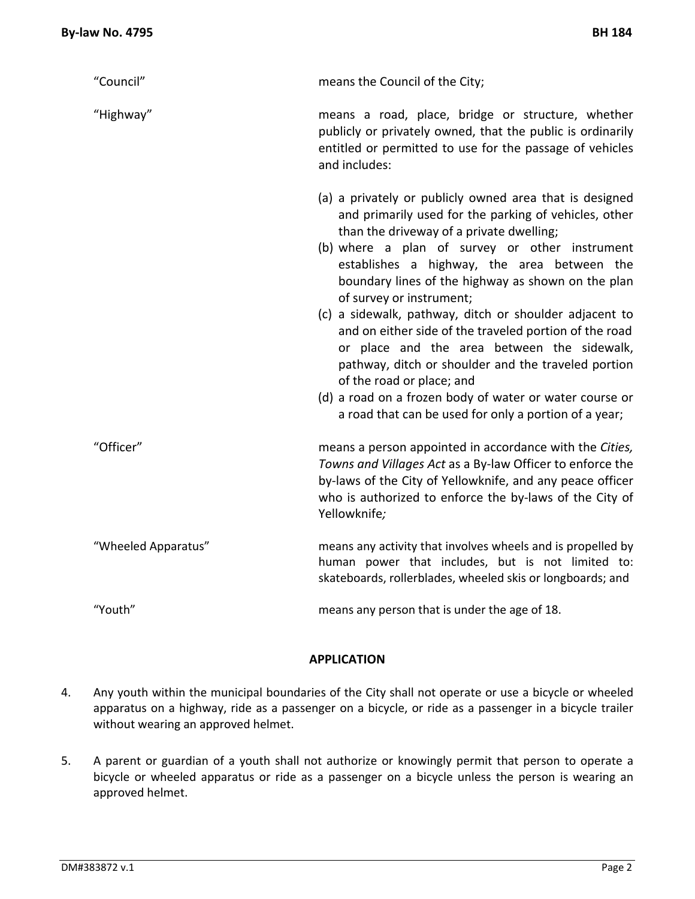| "Council"           | means the Council of the City;                                                                                                                                                                                                                                                                                                                                                                                                                                                                                                                                                                                                                                                                                             |
|---------------------|----------------------------------------------------------------------------------------------------------------------------------------------------------------------------------------------------------------------------------------------------------------------------------------------------------------------------------------------------------------------------------------------------------------------------------------------------------------------------------------------------------------------------------------------------------------------------------------------------------------------------------------------------------------------------------------------------------------------------|
| "Highway"           | means a road, place, bridge or structure, whether<br>publicly or privately owned, that the public is ordinarily<br>entitled or permitted to use for the passage of vehicles<br>and includes:                                                                                                                                                                                                                                                                                                                                                                                                                                                                                                                               |
|                     | (a) a privately or publicly owned area that is designed<br>and primarily used for the parking of vehicles, other<br>than the driveway of a private dwelling;<br>(b) where a plan of survey or other instrument<br>establishes a highway, the area between the<br>boundary lines of the highway as shown on the plan<br>of survey or instrument;<br>(c) a sidewalk, pathway, ditch or shoulder adjacent to<br>and on either side of the traveled portion of the road<br>or place and the area between the sidewalk,<br>pathway, ditch or shoulder and the traveled portion<br>of the road or place; and<br>(d) a road on a frozen body of water or water course or<br>a road that can be used for only a portion of a year; |
| "Officer"           | means a person appointed in accordance with the Cities,<br>Towns and Villages Act as a By-law Officer to enforce the<br>by-laws of the City of Yellowknife, and any peace officer<br>who is authorized to enforce the by-laws of the City of<br>Yellowknife;                                                                                                                                                                                                                                                                                                                                                                                                                                                               |
| "Wheeled Apparatus" | means any activity that involves wheels and is propelled by<br>human power that includes, but is not limited to:<br>skateboards, rollerblades, wheeled skis or longboards; and                                                                                                                                                                                                                                                                                                                                                                                                                                                                                                                                             |
| "Youth"             | means any person that is under the age of 18.                                                                                                                                                                                                                                                                                                                                                                                                                                                                                                                                                                                                                                                                              |

#### **APPLICATION**

- 4. Any youth within the municipal boundaries of the City shall not operate or use a bicycle or wheeled apparatus on a highway, ride as a passenger on a bicycle, or ride as a passenger in a bicycle trailer without wearing an approved helmet.
- 5. A parent or guardian of a youth shall not authorize or knowingly permit that person to operate a bicycle or wheeled apparatus or ride as a passenger on a bicycle unless the person is wearing an approved helmet.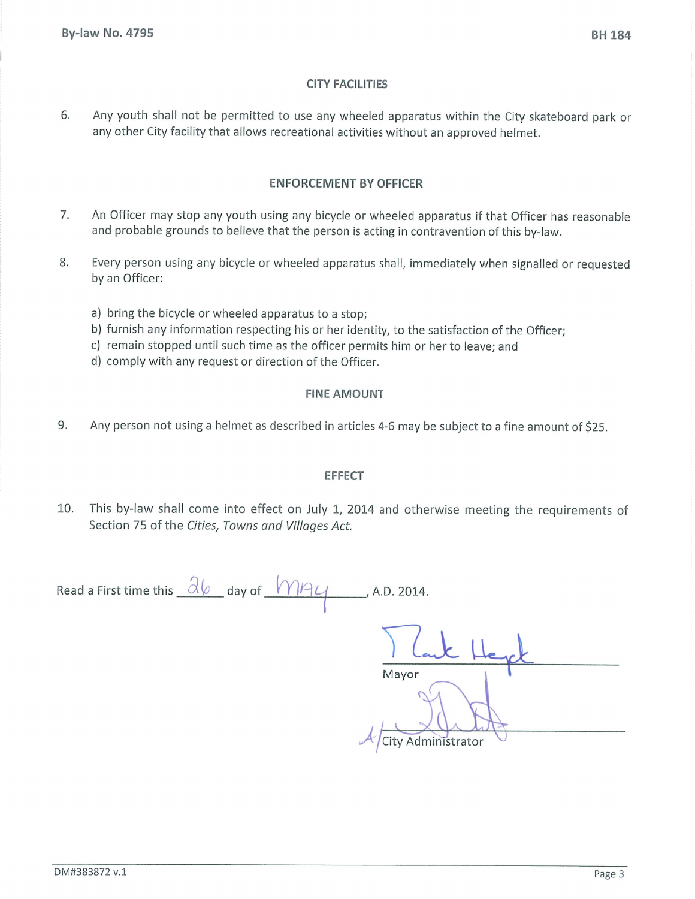### **CITY FACILITIES**

Any youth shall not be permitted to use any wheeled apparatus within the City skateboard park or 6. any other City facility that allows recreational activities without an approved helmet.

### **ENFORCEMENT BY OFFICER**

- An Officer may stop any youth using any bicycle or wheeled apparatus if that Officer has reasonable 7. and probable grounds to believe that the person is acting in contravention of this by-law.
- 8. Every person using any bicycle or wheeled apparatus shall, immediately when signalled or requested by an Officer:
	- a) bring the bicycle or wheeled apparatus to a stop;
	- b) furnish any information respecting his or her identity, to the satisfaction of the Officer;
	- c) remain stopped until such time as the officer permits him or her to leave; and
	- d) comply with any request or direction of the Officer.

## **FINE AMOUNT**

9. Any person not using a helmet as described in articles 4-6 may be subject to a fine amount of \$25.

#### **EFFECT**

 $10.$ This by-law shall come into effect on July 1, 2014 and otherwise meeting the requirements of Section 75 of the Cities, Towns and Villages Act.

Read a First time this  $\partial\varphi$  day of  $M$  $\varphi$  A.D. 2014. Mayor City Administrator